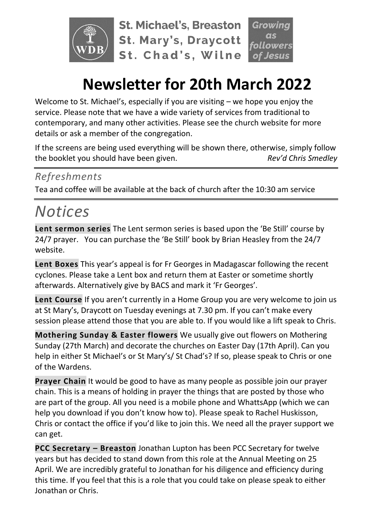

**St. Michael's, Breaston St. Mary's, Draycott** St. Chad's, Wilne

# **Newsletter for 20th March 2022**

Welcome to St. Michael's, especially if you are visiting – we hope you enjoy the service. Please note that we have a wide variety of services from traditional to contemporary, and many other activities. Please see the church website for more details or ask a member of the congregation.

If the screens are being used everything will be shown there, otherwise, simply follow the booklet you should have been given. *Rev'd Chris Smedley*

#### *Refreshments*

Tea and coffee will be available at the back of church after the 10:30 am service

# *Notices*

**Lent sermon series** The Lent sermon series is based upon the 'Be Still' course by 24/7 prayer. You can purchase the 'Be Still' book by Brian Heasley from the 24/7 website.

**Lent Boxes** This year's appeal is for Fr Georges in Madagascar following the recent cyclones. Please take a Lent box and return them at Easter or sometime shortly afterwards. Alternatively give by BACS and mark it 'Fr Georges'.

**Lent Course** If you aren't currently in a Home Group you are very welcome to join us at St Mary's, Draycott on Tuesday evenings at 7.30 pm. If you can't make every session please attend those that you are able to. If you would like a lift speak to Chris.

**Mothering Sunday & Easter flowers** We usually give out flowers on Mothering Sunday (27th March) and decorate the churches on Easter Day (17th April). Can you help in either St Michael's or St Mary's/ St Chad's? If so, please speak to Chris or one of the Wardens.

**Prayer Chain** It would be good to have as many people as possible join our prayer chain. This is a means of holding in prayer the things that are posted by those who are part of the group. All you need is a mobile phone and WhattsApp (which we can help you download if you don't know how to). Please speak to Rachel Huskisson, Chris or contact the office if you'd like to join this. We need all the prayer support we can get.

**PCC Secretary – Breaston** Jonathan Lupton has been PCC Secretary for twelve years but has decided to stand down from this role at the Annual Meeting on 25 April. We are incredibly grateful to Jonathan for his diligence and efficiency during this time. If you feel that this is a role that you could take on please speak to either Jonathan or Chris.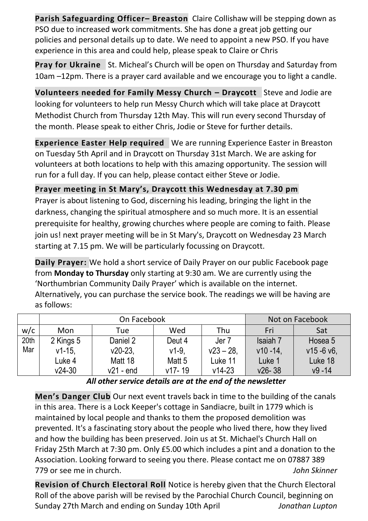**Parish Safeguarding Officer– Breaston** Claire Collishaw will be stepping down as PSO due to increased work commitments. She has done a great job getting our policies and personal details up to date. We need to appoint a new PSO. If you have experience in this area and could help, please speak to Claire or Chris

**Pray for Ukraine** St. Micheal's Church will be open on Thursday and Saturday from 10am –12pm. There is a prayer card available and we encourage you to light a candle.

**Volunteers needed for Family Messy Church – Draycott** Steve and Jodie are looking for volunteers to help run Messy Church which will take place at Draycott Methodist Church from Thursday 12th May. This will run every second Thursday of the month. Please speak to either Chris, Jodie or Steve for further details.

**Experience Easter Help required** We are running Experience Easter in Breaston on Tuesday 5th April and in Draycott on Thursday 31st March. We are asking for volunteers at both locations to help with this amazing opportunity. The session will run for a full day. If you can help, please contact either Steve or Jodie.

**Prayer meeting in St Mary's, Draycott this Wednesday at 7.30 pm** Prayer is about listening to God, discerning his leading, bringing the light in the darkness, changing the spiritual atmosphere and so much more. It is an essential prerequisite for healthy, growing churches where people are coming to faith. Please join us! next prayer meeting will be in St Mary's, Draycott on Wednesday 23 March starting at 7.15 pm. We will be particularly focussing on Draycott.

**Daily Prayer:** We hold a short service of Daily Prayer on our public Facebook page from **Monday to Thursday** only starting at 9:30 am. We are currently using the 'Northumbrian Community Daily Prayer' which is available on the internet. Alternatively, you can purchase the service book. The readings we will be having are as follows:

|      | On Facebook |             |                   |                  | Not on Facebook |              |
|------|-------------|-------------|-------------------|------------------|-----------------|--------------|
| w/c  | Mon         | Tue         | Wed               | Thu              | Fri             | Sat          |
| 20th | 2 Kings 5   | Daniel 2    | Deut 4            | Jer <sub>7</sub> | Isaiah 7        | Hosea 5      |
| Mar  | $v1-15.$    | $v20-23$    | $v1-9$ ,          | $v23 - 28$ .     | $v10 - 14$      | $v15 - 6 v6$ |
|      | Luke 4      | Matt 18     | Matt <sub>5</sub> | Luke 11          | Luke 1          | Luke 18      |
|      | $v24-30$    | $v21 - end$ | $v17 - 19$        | $v14 - 23$       | $v26 - 38$      | $v9 - 14$    |

*All other service details are at the end of the newsletter*

**Men's Danger Club** Our next event travels back in time to the building of the canals in this area. There is a Lock Keeper's cottage in Sandiacre, built in 1779 which is maintained by local people and thanks to them the proposed demolition was prevented. It's a fascinating story about the people who lived there, how they lived and how the building has been preserved. Join us at St. Michael's Church Hall on Friday 25th March at 7:30 pm. Only £5.00 which includes a pint and a donation to the Association. Looking forward to seeing you there. Please contact me on 07887 389 779 or see me in church. *John Skinner*

**Revision of Church Electoral Roll** Notice is hereby given that the Church Electoral Roll of the above parish will be revised by the Parochial Church Council, beginning on Sunday 27th March and ending on Sunday 10th April *Jonathan Lupton*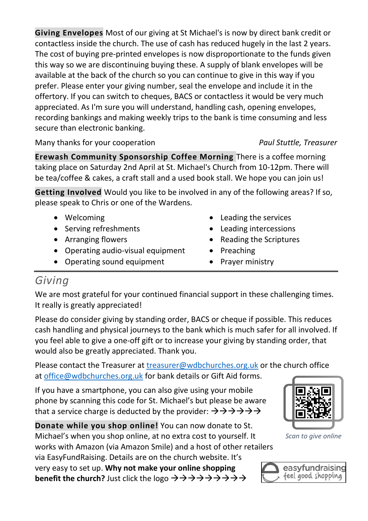**Giving Envelopes** Most of our giving at St Michael's is now by direct bank credit or contactless inside the church. The use of cash has reduced hugely in the last 2 years. The cost of buying pre-printed envelopes is now disproportionate to the funds given this way so we are discontinuing buying these. A supply of blank envelopes will be available at the back of the church so you can continue to give in this way if you prefer. Please enter your giving number, seal the envelope and include it in the offertory. If you can switch to cheques, BACS or contactless it would be very much appreciated. As I'm sure you will understand, handling cash, opening envelopes, recording bankings and making weekly trips to the bank is time consuming and less secure than electronic banking.

Many thanks for your cooperation *Paul Stuttle, Treasurer*

**Erewash Community Sponsorship Coffee Morning** There is a coffee morning taking place on Saturday 2nd April at St. Michael's Church from 10-12pm. There will be tea/coffee & cakes, a craft stall and a used book stall. We hope you can join us!

**Getting Involved** Would you like to be involved in any of the following areas? If so, please speak to Chris or one of the Wardens.

- Welcoming
- Serving refreshments
- Arranging flowers
- Operating audio-visual equipment
- Operating sound equipment
- Leading the services
- Leading intercessions
- Reading the Scriptures
- Preaching
- Prayer ministry

## *Giving*

We are most grateful for your continued financial support in these challenging times. It really is greatly appreciated!

Please do consider giving by standing order, BACS or cheque if possible. This reduces cash handling and physical journeys to the bank which is much safer for all involved. If you feel able to give a one-off gift or to increase your giving by standing order, that would also be greatly appreciated. Thank you.

Please contact the Treasurer at [treasurer@wdbchurches.org.uk](mailto:treasurer@wdbchurches.org.uk) or the church office at [office@wdbchurches.org.uk](mailto:office@wdbchurches.org.uk) for bank details or Gift Aid forms.

If you have a smartphone, you can also give using your mobile phone by scanning this code for St. Michael's but please be aware that a service charge is deducted by the provider:  $\rightarrow \rightarrow \rightarrow \rightarrow \rightarrow \rightarrow$ 

**Donate while you shop online!** You can now donate to St. Michael's when you shop online, at no extra cost to yourself. It works with Amazon (via Amazon Smile) and a host of other retailers

via EasyFundRaising. Details are on the [church website](http://www.stmichaelsbreaston.org.uk/index.php/113-news/236-giving-online). It's very easy to set up. **Why not make your online shopping benefit the church?** Just click the logo →→→→→→→→→→



*Scan to give online*